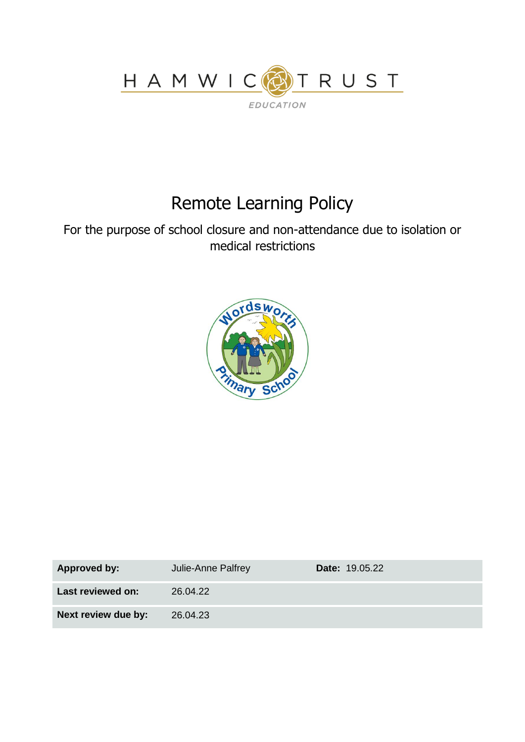

# Remote Learning Policy

For the purpose of school closure and non-attendance due to isolation or medical restrictions



| <b>Approved by:</b> | Julie-Anne Palfrey | <b>Date: 19.05.22</b> |
|---------------------|--------------------|-----------------------|
| Last reviewed on:   | 26.04.22           |                       |
| Next review due by: | 26.04.23           |                       |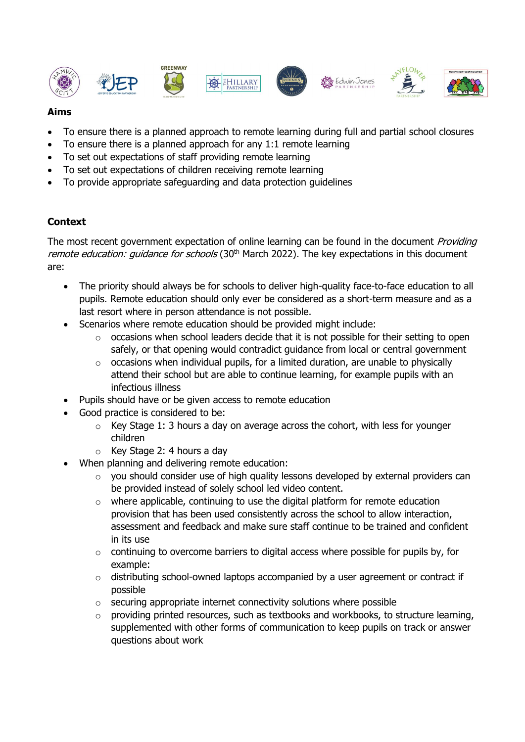













## **Aims**

- To ensure there is a planned approach to remote learning during full and partial school closures
- To ensure there is a planned approach for any 1:1 remote learning
- To set out expectations of staff providing remote learning
- To set out expectations of children receiving remote learning
- To provide appropriate safeguarding and data protection guidelines

## **Context**

The most recent government expectation of online learning can be found in the document Providing remote education: guidance for schools (30<sup>th</sup> March 2022). The key expectations in this document are:

- The priority should always be for schools to deliver high-quality face-to-face education to all pupils. Remote education should only ever be considered as a short-term measure and as a last resort where in person attendance is not possible.
- Scenarios where remote education should be provided might include:
	- o occasions when school leaders decide that it is not possible for their setting to open safely, or that opening would contradict guidance from local or central government
	- $\circ$  occasions when individual pupils, for a limited duration, are unable to physically attend their school but are able to continue learning, for example pupils with an infectious illness
	- Pupils should have or be given access to remote education
- Good practice is considered to be:
	- o Key Stage 1: 3 hours a day on average across the cohort, with less for younger children
	- o Key Stage 2: 4 hours a day
- When planning and delivering remote education:
	- o you should consider use of high quality lessons developed by external providers can be provided instead of solely school led video content.
	- $\circ$  where applicable, continuing to use the digital platform for remote education provision that has been used consistently across the school to allow interaction, assessment and feedback and make sure staff continue to be trained and confident in its use
	- o continuing to overcome barriers to digital access where possible for pupils by, for example:
	- o distributing school-owned laptops accompanied by a user agreement or contract if possible
	- $\circ$  securing appropriate internet connectivity solutions where possible
	- o providing printed resources, such as textbooks and workbooks, to structure learning, supplemented with other forms of communication to keep pupils on track or answer questions about work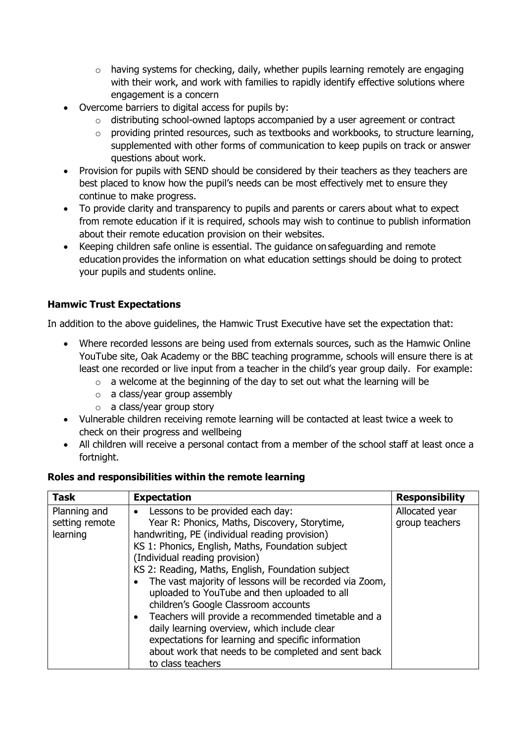- o having systems for checking, daily, whether pupils learning remotely are engaging with their work, and work with families to rapidly identify effective solutions where engagement is a concern
- Overcome barriers to digital access for pupils by:
	- o distributing school-owned laptops accompanied by a user agreement or contract
	- o providing printed resources, such as textbooks and workbooks, to structure learning, supplemented with other forms of communication to keep pupils on track or answer questions about work.
- Provision for pupils with SEND should be considered by their teachers as they teachers are best placed to know how the pupil's needs can be most effectively met to ensure they continue to make progress.
- To provide clarity and transparency to pupils and parents or carers about what to expect from remote education if it is required, schools may wish to continue to publish information about their remote education provision on their websites.
- Keeping children safe online is essential. The guidance on safeguarding and remote education provides the information on what education settings should be doing to protect your pupils and students online.

## **Hamwic Trust Expectations**

In addition to the above guidelines, the Hamwic Trust Executive have set the expectation that:

- Where recorded lessons are being used from externals sources, such as the Hamwic Online YouTube site, Oak Academy or the BBC teaching programme, schools will ensure there is at least one recorded or live input from a teacher in the child's year group daily. For example:
	- $\circ$  a welcome at the beginning of the day to set out what the learning will be
	- o a class/year group assembly
	- o a class/year group story
- Vulnerable children receiving remote learning will be contacted at least twice a week to check on their progress and wellbeing
- All children will receive a personal contact from a member of the school staff at least once a fortnight.

#### **Roles and responsibilities within the remote learning**

| <b>Task</b>                                | <b>Expectation</b>                                                                                                                                                                                                                                                                                                                                                                                                                                                                                                                                                                                                                                                                         | <b>Responsibility</b>            |
|--------------------------------------------|--------------------------------------------------------------------------------------------------------------------------------------------------------------------------------------------------------------------------------------------------------------------------------------------------------------------------------------------------------------------------------------------------------------------------------------------------------------------------------------------------------------------------------------------------------------------------------------------------------------------------------------------------------------------------------------------|----------------------------------|
| Planning and<br>setting remote<br>learning | Lessons to be provided each day:<br>$\bullet$<br>Year R: Phonics, Maths, Discovery, Storytime,<br>handwriting, PE (individual reading provision)<br>KS 1: Phonics, English, Maths, Foundation subject<br>(Individual reading provision)<br>KS 2: Reading, Maths, English, Foundation subject<br>The vast majority of lessons will be recorded via Zoom,<br>uploaded to YouTube and then uploaded to all<br>children's Google Classroom accounts<br>• Teachers will provide a recommended timetable and a<br>daily learning overview, which include clear<br>expectations for learning and specific information<br>about work that needs to be completed and sent back<br>to class teachers | Allocated year<br>group teachers |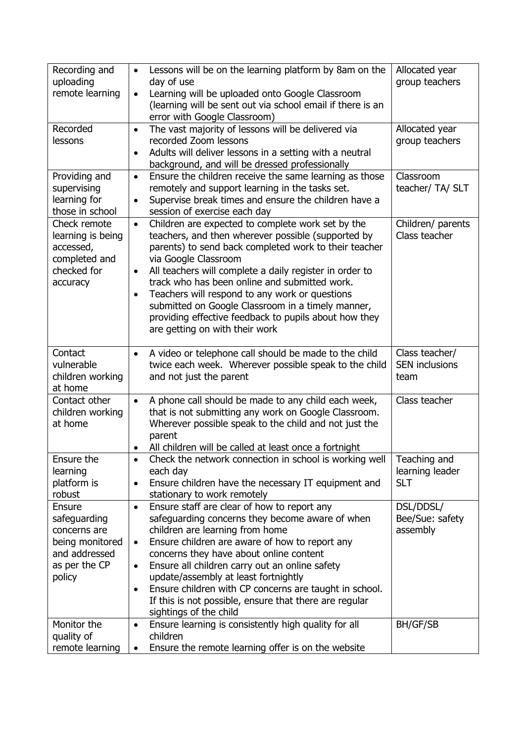| Recording and                 | Lessons will be on the learning platform by 8am on the                                          | Allocated year        |
|-------------------------------|-------------------------------------------------------------------------------------------------|-----------------------|
| uploading                     | day of use                                                                                      | group teachers        |
| remote learning               | Learning will be uploaded onto Google Classroom<br>$\bullet$                                    |                       |
|                               | (learning will be sent out via school email if there is an                                      |                       |
| Recorded                      | error with Google Classroom)<br>The vast majority of lessons will be delivered via<br>$\bullet$ | Allocated year        |
| lessons                       | recorded Zoom lessons                                                                           | group teachers        |
|                               | Adults will deliver lessons in a setting with a neutral<br>$\bullet$                            |                       |
|                               | background, and will be dressed professionally                                                  |                       |
| Providing and                 | Ensure the children receive the same learning as those<br>$\bullet$                             | Classroom             |
| supervising                   | remotely and support learning in the tasks set.                                                 | teacher/ TA/ SLT      |
| learning for                  | Supervise break times and ensure the children have a<br>$\bullet$                               |                       |
| those in school               | session of exercise each day                                                                    |                       |
| Check remote                  | Children are expected to complete work set by the<br>$\bullet$                                  | Children/ parents     |
| learning is being             | teachers, and then wherever possible (supported by                                              | Class teacher         |
| accessed,                     | parents) to send back completed work to their teacher                                           |                       |
| completed and                 | via Google Classroom                                                                            |                       |
| checked for                   | All teachers will complete a daily register in order to<br>$\bullet$                            |                       |
| accuracy                      | track who has been online and submitted work.                                                   |                       |
|                               | Teachers will respond to any work or questions<br>$\bullet$                                     |                       |
|                               | submitted on Google Classroom in a timely manner,                                               |                       |
|                               | providing effective feedback to pupils about how they                                           |                       |
|                               | are getting on with their work                                                                  |                       |
|                               |                                                                                                 |                       |
| Contact                       | A video or telephone call should be made to the child<br>$\bullet$                              | Class teacher/        |
| vulnerable                    | twice each week. Wherever possible speak to the child                                           | <b>SEN inclusions</b> |
| children working              | and not just the parent                                                                         | team                  |
| at home                       |                                                                                                 |                       |
| Contact other                 | A phone call should be made to any child each week,<br>$\bullet$                                | Class teacher         |
| children working              | that is not submitting any work on Google Classroom.                                            |                       |
| at home                       | Wherever possible speak to the child and not just the                                           |                       |
|                               | parent<br>All children will be called at least once a fortnight                                 |                       |
| Ensure the                    | Check the network connection in school is working well                                          | Teaching and          |
| learning                      | each day                                                                                        | learning leader       |
| platform is                   | Ensure children have the necessary IT equipment and<br>$\bullet$                                | <b>SLT</b>            |
| robust                        | stationary to work remotely                                                                     |                       |
| <b>Ensure</b>                 | Ensure staff are clear of how to report any<br>$\bullet$                                        | DSL/DDSL/             |
| safeguarding                  | safeguarding concerns they become aware of when                                                 | Bee/Sue: safety       |
| concerns are                  | children are learning from home                                                                 | assembly              |
| being monitored               | Ensure children are aware of how to report any<br>$\bullet$                                     |                       |
| and addressed                 | concerns they have about online content                                                         |                       |
| as per the CP                 | Ensure all children carry out an online safety<br>٠                                             |                       |
| policy                        | update/assembly at least fortnightly                                                            |                       |
|                               | Ensure children with CP concerns are taught in school.<br>$\bullet$                             |                       |
|                               | If this is not possible, ensure that there are regular                                          |                       |
|                               | sightings of the child                                                                          |                       |
| Monitor the                   |                                                                                                 |                       |
|                               | Ensure learning is consistently high quality for all<br>$\bullet$                               | BH/GF/SB              |
| quality of<br>remote learning | children<br>Ensure the remote learning offer is on the website                                  |                       |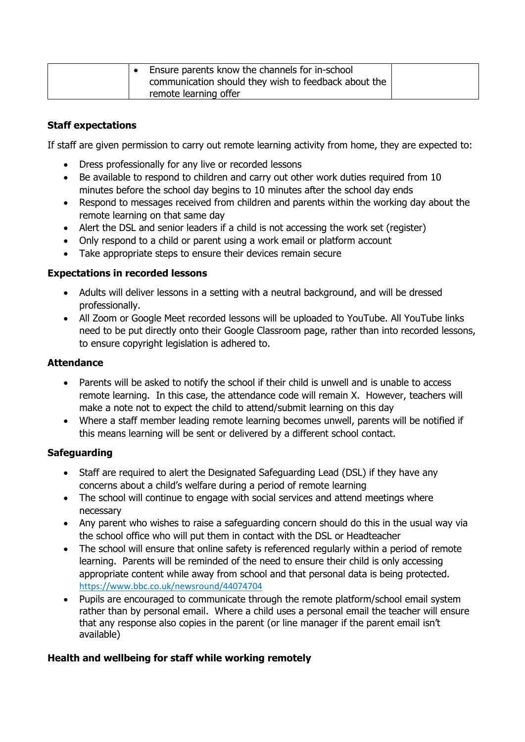| Ensure parents know the channels for in-school       |  |
|------------------------------------------------------|--|
| communication should they wish to feedback about the |  |
| remote learning offer                                |  |

#### **Staff expectations**

If staff are given permission to carry out remote learning activity from home, they are expected to:

- Dress professionally for any live or recorded lessons
- Be available to respond to children and carry out other work duties required from 10 minutes before the school day begins to 10 minutes after the school day ends
- Respond to messages received from children and parents within the working day about the remote learning on that same day
- Alert the DSL and senior leaders if a child is not accessing the work set (register)
- Only respond to a child or parent using a work email or platform account
- Take appropriate steps to ensure their devices remain secure

#### **Expectations in recorded lessons**

- Adults will deliver lessons in a setting with a neutral background, and will be dressed professionally.
- All Zoom or Google Meet recorded lessons will be uploaded to YouTube. All YouTube links need to be put directly onto their Google Classroom page, rather than into recorded lessons, to ensure copyright legislation is adhered to.

#### **Attendance**

- Parents will be asked to notify the school if their child is unwell and is unable to access remote learning. In this case, the attendance code will remain X. However, teachers will make a note not to expect the child to attend/submit learning on this day
- Where a staff member leading remote learning becomes unwell, parents will be notified if this means learning will be sent or delivered by a different school contact.

#### **Safeguarding**

- Staff are required to alert the Designated Safeguarding Lead (DSL) if they have any concerns about a child's welfare during a period of remote learning
- The school will continue to engage with social services and attend meetings where necessary
- Any parent who wishes to raise a safeguarding concern should do this in the usual way via the school office who will put them in contact with the DSL or Headteacher
- The school will ensure that online safety is referenced regularly within a period of remote learning. Parents will be reminded of the need to ensure their child is only accessing appropriate content while away from school and that personal data is being protected. <https://www.bbc.co.uk/newsround/44074704>
- Pupils are encouraged to communicate through the remote platform/school email system rather than by personal email. Where a child uses a personal email the teacher will ensure that any response also copies in the parent (or line manager if the parent email isn't available)

#### **Health and wellbeing for staff while working remotely**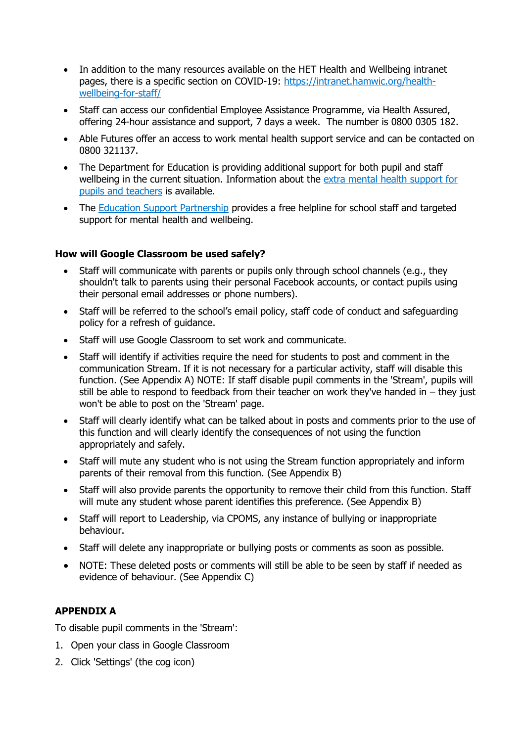- In addition to the many resources available on the HET Health and Wellbeing intranet pages, there is a specific section on COVID-19: [https://intranet.hamwic.org/health](https://intranet.hamwic.org/health-wellbeing-for-staff/)[wellbeing-for-staff/](https://intranet.hamwic.org/health-wellbeing-for-staff/)
- Staff can access our confidential Employee Assistance Programme, via Health Assured, offering 24-hour assistance and support, 7 days a week. The number is 0800 0305 182.
- Able Futures offer an access to work mental health support service and can be contacted on 0800 321137.
- The Department for Education is providing additional support for both pupil and staff wellbeing in the current situation. Information about the extra mental health [support](https://www.gov.uk/government/news/extra-mental-health-support-for-pupils-and-teachers) for pupils and [teachers](https://www.gov.uk/government/news/extra-mental-health-support-for-pupils-and-teachers) is available.
- The Education Support [Partnership](http://www.educationsupport.org.uk/) provides a free helpline for school staff and targeted support for mental health and wellbeing.

#### **How will Google Classroom be used safely?**

- Staff will communicate with parents or pupils only through school channels (e.g., they shouldn't talk to parents using their personal Facebook accounts, or contact pupils using their personal email addresses or phone numbers).
- Staff will be referred to the school's email policy, staff code of conduct and safeguarding policy for a refresh of guidance.
- Staff will use Google Classroom to set work and communicate.
- Staff will identify if activities require the need for students to post and comment in the communication Stream. If it is not necessary for a particular activity, staff will disable this function. (See Appendix A) NOTE: If staff disable pupil comments in the 'Stream', pupils will still be able to respond to feedback from their teacher on work they've handed in – they just won't be able to post on the 'Stream' page.
- Staff will clearly identify what can be talked about in posts and comments prior to the use of this function and will clearly identify the consequences of not using the function appropriately and safely.
- Staff will mute any student who is not using the Stream function appropriately and inform parents of their removal from this function. (See Appendix B)
- Staff will also provide parents the opportunity to remove their child from this function. Staff will mute any student whose parent identifies this preference. (See Appendix B)
- Staff will report to Leadership, via CPOMS, any instance of bullying or inappropriate behaviour.
- Staff will delete any inappropriate or bullying posts or comments as soon as possible.
- NOTE: These deleted posts or comments will still be able to be seen by staff if needed as evidence of behaviour. (See Appendix C)

#### **APPENDIX A**

To disable pupil comments in the 'Stream':

- 1. Open your class in Google Classroom
- 2. Click 'Settings' (the cog icon)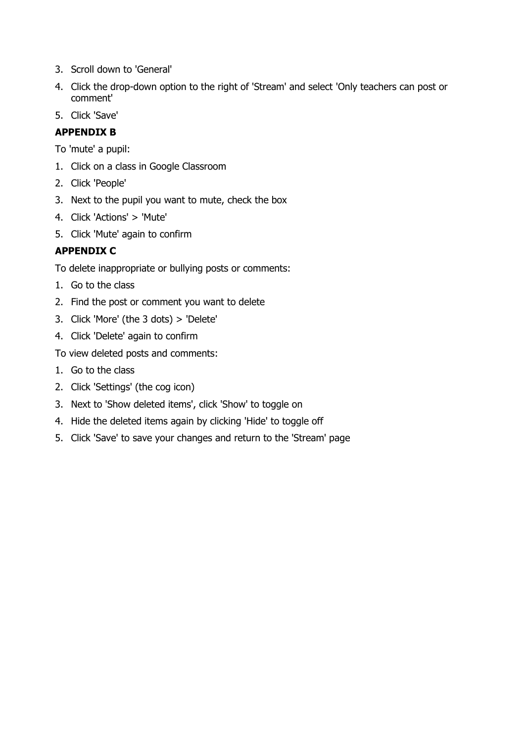- 3. Scroll down to 'General'
- 4. Click the drop-down option to the right of 'Stream' and select 'Only teachers can post or comment'
- 5. Click 'Save'

## **APPENDIX B**

To 'mute' a pupil:

- 1. Click on a class in Google Classroom
- 2. Click 'People'
- 3. Next to the pupil you want to mute, check the box
- 4. Click 'Actions' > 'Mute'
- 5. Click 'Mute' again to confirm

## **APPENDIX C**

To delete inappropriate or bullying posts or comments:

- 1. Go to the class
- 2. Find the post or comment you want to delete
- 3. Click 'More' (the 3 dots) > 'Delete'
- 4. Click 'Delete' again to confirm

To view deleted posts and comments:

- 1. Go to the class
- 2. Click 'Settings' (the cog icon)
- 3. Next to 'Show deleted items', click 'Show' to toggle on
- 4. Hide the deleted items again by clicking 'Hide' to toggle off
- 5. Click 'Save' to save your changes and return to the 'Stream' page